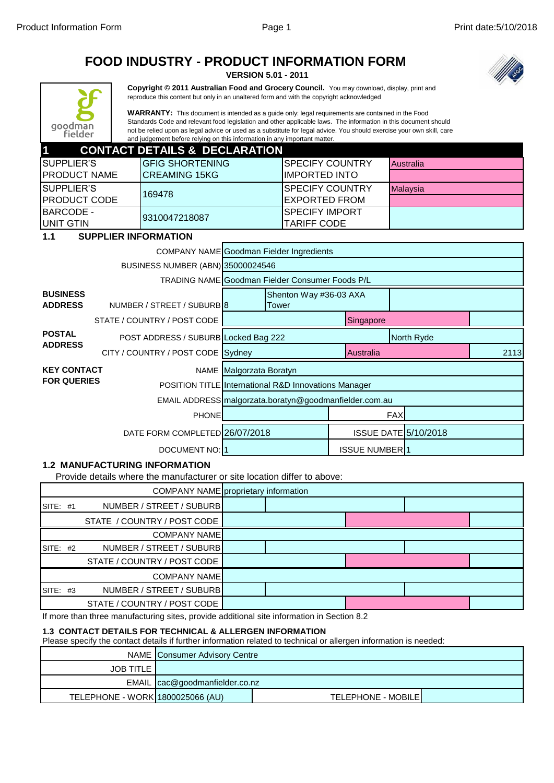# **FOOD INDUSTRY - PRODUCT INFORMATION FORM**

**VERSION 5.01 - 2011**



**Copyright © 2011 Australian Food and Grocery Council.** You may download, display, print and reproduce this content but only in an unaltered form and with the copyright acknowledged

**WARRANTY:** This document is intended as a guide only: legal requirements are contained in the Food Standards Code and relevant food legislation and other applicable laws. The information in this document should not be relied upon as legal advice or used as a substitute for legal advice. You should exercise your own skill, care and judgement before relying on this information in any important matter.

| $\blacksquare$       | <b>CONTACT DETAILS &amp; DECLARATION</b> |                    |                  |
|----------------------|------------------------------------------|--------------------|------------------|
| ISUPPLIER'S          | IGFIG SHORTENING                         | ISPECIFY COUNTRY   | <b>Australia</b> |
| <b>IPRODUCT NAME</b> | ICREAMING 15KG                           | IIMPORTED INTO     |                  |
| <b>ISUPPLIER'S</b>   | 169478                                   | ISPECIFY COUNTRY   | <b>Malavsia</b>  |
| <b>IPRODUCT CODE</b> |                                          | IEXPORTED FROM     |                  |
| <b>BARCODE -</b>     | 9310047218087                            | ISPECIFY IMPORT    |                  |
| <b>JUNIT GTIN</b>    |                                          | <b>TARIFF CODE</b> |                  |

#### **1.1 SUPPLIER INFORMATION**

|                                   |                                                        | <b>COMPANY NAME Goodman Fielder Ingredients</b>                 |                                 |                      |            |                             |      |  |
|-----------------------------------|--------------------------------------------------------|-----------------------------------------------------------------|---------------------------------|----------------------|------------|-----------------------------|------|--|
|                                   | BUSINESS NUMBER (ABN) 35000024546                      |                                                                 |                                 |                      |            |                             |      |  |
|                                   |                                                        | <b>TRADING NAME Goodman Fielder Consumer Foods P/L</b>          |                                 |                      |            |                             |      |  |
| <b>BUSINESS</b><br><b>ADDRESS</b> | NUMBER / STREET / SUBURBI8                             |                                                                 | Shenton Way #36-03 AXA<br>Tower |                      |            |                             |      |  |
|                                   | STATE / COUNTRY / POST CODE                            |                                                                 |                                 | Singapore            |            |                             |      |  |
| <b>POSTAL</b><br><b>ADDRESS</b>   | POST ADDRESS / SUBURB Locked Bag 222                   |                                                                 |                                 |                      |            | North Ryde                  |      |  |
|                                   | CITY / COUNTRY / POST CODE Sydney                      |                                                                 |                                 | Australia            |            |                             | 2113 |  |
| <b>KEY CONTACT</b>                |                                                        | NAME Malgorzata Boratyn                                         |                                 |                      |            |                             |      |  |
| <b>FOR QUERIES</b>                |                                                        | <b>POSITION TITLE International R&amp;D Innovations Manager</b> |                                 |                      |            |                             |      |  |
|                                   | EMAIL ADDRESS malgorzata.boratyn@goodmanfielder.com.au |                                                                 |                                 |                      |            |                             |      |  |
|                                   | <b>PHONE</b>                                           |                                                                 |                                 |                      | <b>FAX</b> |                             |      |  |
|                                   | DATE FORM COMPLETED 26/07/2018                         |                                                                 |                                 |                      |            | <b>ISSUE DATE 5/10/2018</b> |      |  |
|                                   | DOCUMENT NO: 1                                         |                                                                 |                                 | <b>ISSUE NUMBER1</b> |            |                             |      |  |

#### **1.2 MANUFACTURING INFORMATION**

Provide details where the manufacturer or site location differ to above:

|            | COMPANY NAME proprietary information |  |  |  |
|------------|--------------------------------------|--|--|--|
| SITE: $#1$ | NUMBER / STREET / SUBURB             |  |  |  |
|            | STATE / COUNTRY / POST CODE          |  |  |  |
|            | <b>COMPANY NAME</b>                  |  |  |  |
| SITE: $#2$ | NUMBER / STREET / SUBURB             |  |  |  |
|            | STATE / COUNTRY / POST CODE          |  |  |  |
|            | <b>COMPANY NAME</b>                  |  |  |  |
| SITE: $#3$ | NUMBER / STREET / SUBURB             |  |  |  |
|            | STATE / COUNTRY / POST CODE          |  |  |  |

If more than three manufacturing sites, provide additional site information in Section 8.2

#### **1.3 CONTACT DETAILS FOR TECHNICAL & ALLERGEN INFORMATION**

Please specify the contact details if further information related to technical or allergen information is needed:

|                                  | NAME Consumer Advisory Centre    |                            |  |
|----------------------------------|----------------------------------|----------------------------|--|
| <b>JOB TITLE</b>                 |                                  |                            |  |
|                                  | EMAIL   cac@goodmanfielder.co.nz |                            |  |
| TELEPHONE - WORK 1800025066 (AU) |                                  | <b>TELEPHONE - MOBILEI</b> |  |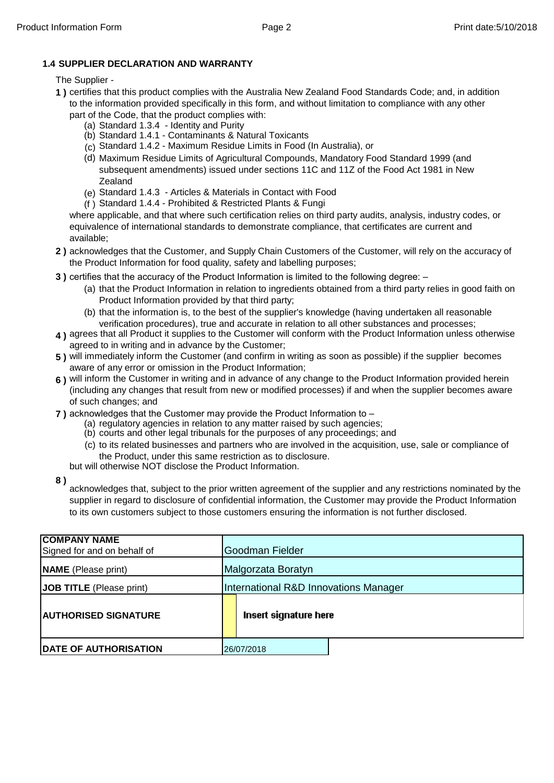#### **1.4 SUPPLIER DECLARATION AND WARRANTY**

#### The Supplier -

- **1 )** certifies that this product complies with the Australia New Zealand Food Standards Code; and, in addition to the information provided specifically in this form, and without limitation to compliance with any other
	- part of the Code, that the product complies with:
		- (a) Standard 1.3.4 Identity and Purity
		- (b) Standard 1.4.1 Contaminants & Natural Toxicants
		- (c) Standard 1.4.2 Maximum Residue Limits in Food (In Australia), or
		- (d) Maximum Residue Limits of Agricultural Compounds, Mandatory Food Standard 1999 (and subsequent amendments) issued under sections 11C and 11Z of the Food Act 1981 in New Zealand
		- (e) Standard 1.4.3 Articles & Materials in Contact with Food
		- (f ) Standard 1.4.4 Prohibited & Restricted Plants & Fungi

where applicable, and that where such certification relies on third party audits, analysis, industry codes, or equivalence of international standards to demonstrate compliance, that certificates are current and available;

- **2 )** acknowledges that the Customer, and Supply Chain Customers of the Customer, will rely on the accuracy of the Product Information for food quality, safety and labelling purposes;
- **3)** certifies that the accuracy of the Product Information is limited to the following degree:  $-$ 
	- (a) that the Product Information in relation to ingredients obtained from a third party relies in good faith on Product Information provided by that third party;
	- (b) that the information is, to the best of the supplier's knowledge (having undertaken all reasonable verification procedures), true and accurate in relation to all other substances and processes;
- **4 )** agrees that all Product it supplies to the Customer will conform with the Product Information unless otherwise agreed to in writing and in advance by the Customer;
- **5 )** will immediately inform the Customer (and confirm in writing as soon as possible) if the supplier becomes aware of any error or omission in the Product Information;
- **6 )** will inform the Customer in writing and in advance of any change to the Product Information provided herein (including any changes that result from new or modified processes) if and when the supplier becomes aware of such changes; and
- **7 )** acknowledges that the Customer may provide the Product Information to
	- (a) regulatory agencies in relation to any matter raised by such agencies;
	- (b) courts and other legal tribunals for the purposes of any proceedings; and
	- (c) to its related businesses and partners who are involved in the acquisition, use, sale or compliance of the Product, under this same restriction as to disclosure.

but will otherwise NOT disclose the Product Information.

**8 )**

acknowledges that, subject to the prior written agreement of the supplier and any restrictions nominated by the supplier in regard to disclosure of confidential information, the Customer may provide the Product Information to its own customers subject to those customers ensuring the information is not further disclosed.

| <b>COMPANY NAME</b><br>Signed for and on behalf of | Goodman Fielder                       |  |  |  |  |
|----------------------------------------------------|---------------------------------------|--|--|--|--|
| <b>NAME</b> (Please print)                         | Malgorzata Boratyn                    |  |  |  |  |
| <b>JOB TITLE</b> (Please print)                    | International R&D Innovations Manager |  |  |  |  |
| <b>IAUTHORISED SIGNATURE</b>                       | Insert signature here                 |  |  |  |  |
| <b>DATE OF AUTHORISATION</b>                       | 26/07/2018                            |  |  |  |  |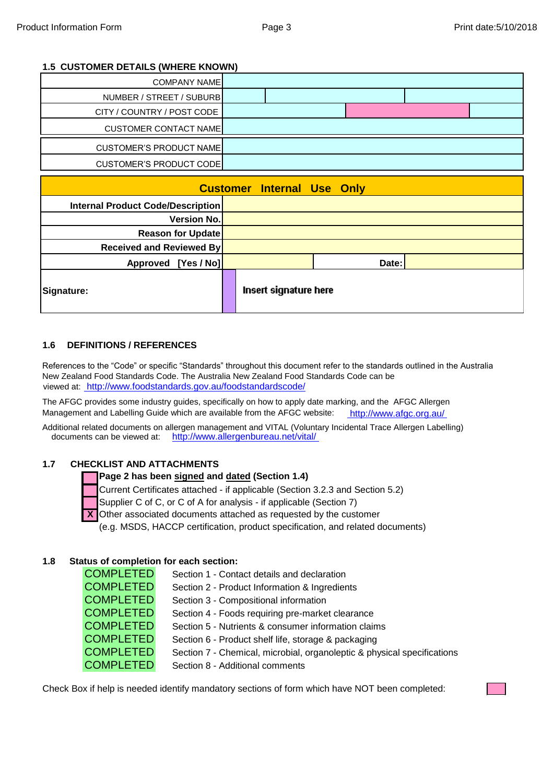#### **1.5 CUSTOMER DETAILS (WHERE KNOWN)**

| <b>COMPANY NAME</b>               |                                   |       |  |  |
|-----------------------------------|-----------------------------------|-------|--|--|
| NUMBER / STREET / SUBURB          |                                   |       |  |  |
| CITY / COUNTRY / POST CODE        |                                   |       |  |  |
| <b>CUSTOMER CONTACT NAME</b>      |                                   |       |  |  |
| <b>CUSTOMER'S PRODUCT NAME</b>    |                                   |       |  |  |
| <b>CUSTOMER'S PRODUCT CODE</b>    |                                   |       |  |  |
|                                   |                                   |       |  |  |
|                                   | <b>Customer Internal Use Only</b> |       |  |  |
| Internal Product Code/Description |                                   |       |  |  |
| <b>Version No.</b>                |                                   |       |  |  |
| <b>Reason for Update</b>          |                                   |       |  |  |
| <b>Received and Reviewed By</b>   |                                   |       |  |  |
| Approved [Yes / No]               |                                   | Date: |  |  |

#### **1.6 DEFINITIONS / REFERENCES**

References to the "Code" or specific "Standards" throughout this document refer to the standards outlined in the Australia New Zealand Food Standards Code. The Australia New Zealand Food Standards Code can be viewed at: [htt](http://www.foodstandards.gov.au/foodstandardscode/)p://www.foodstandards.gov.au/foodstandardscode/

The AFGC provides some industry guides, specifically on how to apply date marking, and the AFGC Allergen Management and Labelling Guide which are available from the AFGC website: [htt](http://www.afgc.org.au/)p://www.afgc.org.au/

Additional related documents on allergen management and VITAL (Voluntary Incidental Trace Allergen Labelling) documents can be viewed at: [http](http://www.allergenbureau.net/vital/)://www.allergenbureau.net/vital/

#### **1.7 CHECKLIST AND ATTACHMENTS**

#### **Page 2 has been signed and dated (Section 1.4)**

Current Certificates attached - if applicable (Section 3.2.3 and Section 5.2)

Supplier C of C, or C of A for analysis - if applicable (Section 7)

Other associated documents attached as requested by the customer

(e.g. MSDS, HACCP certification, product specification, and related documents)

#### **1.8 Status of completion for each section:**

COMPLETED Section 1 - Contact details and declaration COMPLETED Section 2 - Product Information & Ingredients COMPLETED Section 3 - Compositional information COMPLETED Section 4 - Foods requiring pre-market clearance **COMPLETED** Section 5 - Nutrients & consumer information claims COMPLETED Section 6 - Product shelf life, storage & packaging **COMPLETED** Section 7 - Chemical, microbial, organoleptic & physical specifications COMPLETED Section 8 - Additional comments

Check Box if help is needed identify mandatory sections of form which have NOT been completed: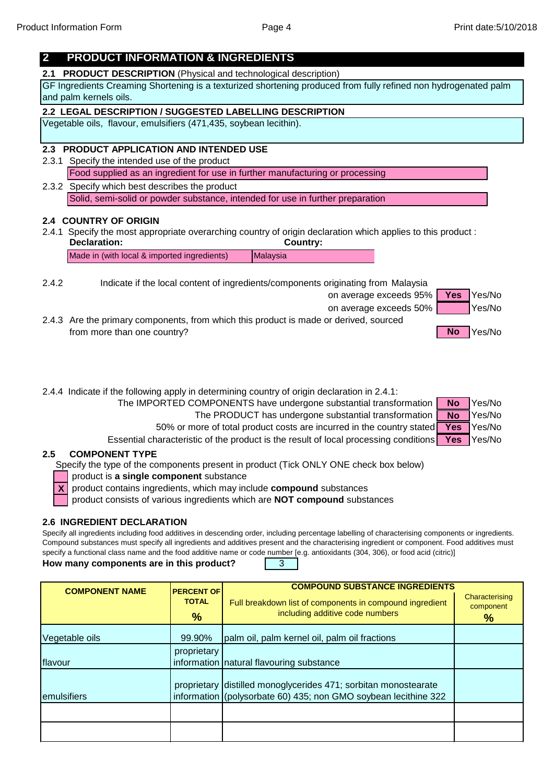### **2 PRODUCT INFORMATION & INGREDIENTS**

**2.1 PRODUCT DESCRIPTION** (Physical and technological description)

GF Ingredients Creaming Shortening is a texturized shortening produced from fully refined non hydrogenated palm and palm kernels oils.

### **2.2 LEGAL DESCRIPTION / SUGGESTED LABELLING DESCRIPTION**

Vegetable oils, flavour, emulsifiers (471,435, soybean lecithin).

#### **2.3 PRODUCT APPLICATION AND INTENDED USE**

2.3.1 Specify the intended use of the product Food supplied as an ingredient for use in further manufacturing or processing

2.3.2 Specify which best describes the product Solid, semi-solid or powder substance, intended for use in further preparation

#### **2.4 COUNTRY OF ORIGIN**

2.4.1 Specify the most appropriate overarching country of origin declaration which applies to this product : **Declaration: Country:**

Made in (with local & imported ingredients) Malaysia

2.4.2 Indicate if the local content of ingredients/components originating from Malaysia

on average exceeds 95% | Yes | Yes/No



2.4.3 Are the primary components, from which this product is made or derived, sourced from more than one country? The state of the state of the state of the state of the state of the state of the state of the state of the state of the state of the state of the state of the state of the state of the state of



2.4.4 Indicate if the following apply in determining country of origin declaration in 2.4.1:

- The IMPORTED COMPONENTS have undergone substantial transformation **No** Yes/No **No**
	- The PRODUCT has undergone substantial transformation Yes/No **No**
	- 50% or more of total product costs are incurred in the country stated **Yes** Yes/No **Yes**

Essential characteristic of the product is the result of local processing conditions **Yes** Yes/No **Yes**

#### **COMPONENT TYPE 2.5**

Specify the type of the components present in product (Tick ONLY ONE check box below)

product is **a single component** substance

**X** product contains ingredients, which may include **compound** substances

product consists of various ingredients which are **NOT compound** substances

#### **2.6 INGREDIENT DECLARATION**

Specify all ingredients including food additives in descending order, including percentage labelling of characterising components or ingredients. Compound substances must specify all ingredients and additives present and the characterising ingredient or component. Food additives must specify a functional class name and the food additive name or code number [e.g. antioxidants (304, 306), or food acid (citric)]

**How many components are in this product?** | 3

| <b>COMPONENT NAME</b> | <b>PERCENT OF</b><br><b>TOTAL</b><br>$\%$ | <b>COMPOUND SUBSTANCE INGREDIENTS</b><br>Full breakdown list of components in compound ingredient<br>including additive code numbers | Characterising<br>component<br>$\frac{9}{6}$ |
|-----------------------|-------------------------------------------|--------------------------------------------------------------------------------------------------------------------------------------|----------------------------------------------|
| Vegetable oils        | 99.90%                                    | palm oil, palm kernel oil, palm oil fractions                                                                                        |                                              |
| flavour               | proprietary                               | information   natural flavouring substance                                                                                           |                                              |
| emulsifiers           |                                           | proprietary distilled monoglycerides 471; sorbitan monostearate<br>information (polysorbate 60) 435; non GMO soybean lecithine 322   |                                              |
|                       |                                           |                                                                                                                                      |                                              |
|                       |                                           |                                                                                                                                      |                                              |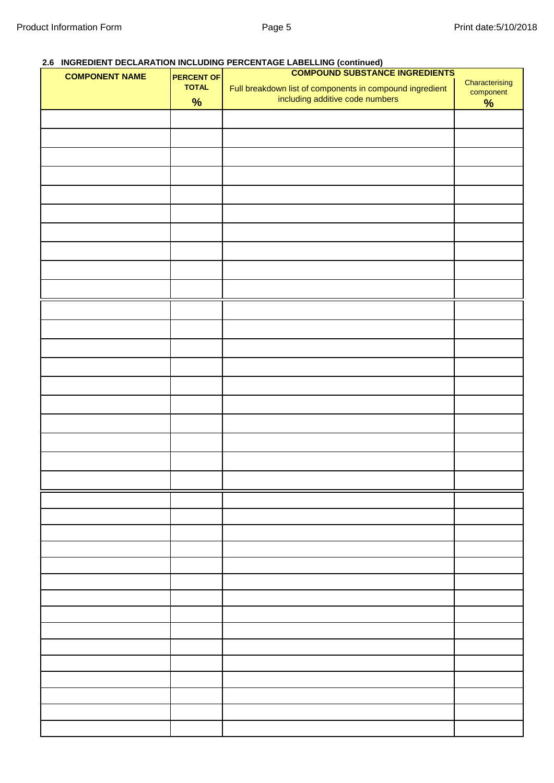#### **2.6 INGREDIENT DECLARATION INCLUDING PERCENTAGE LABELLING (continued)**

| <b>COMPONENT NAME</b> | <b>PERCENT OF</b> | <b>COMPOUND SUBSTANCE INGREDIENTS</b>                                                       |                             |  |  |  |
|-----------------------|-------------------|---------------------------------------------------------------------------------------------|-----------------------------|--|--|--|
|                       | <b>TOTAL</b>      | Full breakdown list of components in compound ingredient<br>including additive code numbers | Characterising<br>component |  |  |  |
|                       | $\%$              |                                                                                             | $\frac{9}{6}$               |  |  |  |
|                       |                   |                                                                                             |                             |  |  |  |
|                       |                   |                                                                                             |                             |  |  |  |
|                       |                   |                                                                                             |                             |  |  |  |
|                       |                   |                                                                                             |                             |  |  |  |
|                       |                   |                                                                                             |                             |  |  |  |
|                       |                   |                                                                                             |                             |  |  |  |
|                       |                   |                                                                                             |                             |  |  |  |
|                       |                   |                                                                                             |                             |  |  |  |
|                       |                   |                                                                                             |                             |  |  |  |
|                       |                   |                                                                                             |                             |  |  |  |
|                       |                   |                                                                                             |                             |  |  |  |
|                       |                   |                                                                                             |                             |  |  |  |
|                       |                   |                                                                                             |                             |  |  |  |
|                       |                   |                                                                                             |                             |  |  |  |
|                       |                   |                                                                                             |                             |  |  |  |
|                       |                   |                                                                                             |                             |  |  |  |
|                       |                   |                                                                                             |                             |  |  |  |
|                       |                   |                                                                                             |                             |  |  |  |
|                       |                   |                                                                                             |                             |  |  |  |
|                       |                   |                                                                                             |                             |  |  |  |
|                       |                   |                                                                                             |                             |  |  |  |
|                       |                   |                                                                                             |                             |  |  |  |
|                       |                   |                                                                                             |                             |  |  |  |
|                       |                   |                                                                                             |                             |  |  |  |
|                       |                   |                                                                                             |                             |  |  |  |
|                       |                   |                                                                                             |                             |  |  |  |
|                       |                   |                                                                                             |                             |  |  |  |
|                       |                   |                                                                                             |                             |  |  |  |
|                       |                   |                                                                                             |                             |  |  |  |
|                       |                   |                                                                                             |                             |  |  |  |
|                       |                   |                                                                                             |                             |  |  |  |
|                       |                   |                                                                                             |                             |  |  |  |
|                       |                   |                                                                                             |                             |  |  |  |
|                       |                   |                                                                                             |                             |  |  |  |
|                       |                   |                                                                                             |                             |  |  |  |
|                       |                   |                                                                                             |                             |  |  |  |
|                       |                   |                                                                                             |                             |  |  |  |
|                       |                   |                                                                                             |                             |  |  |  |
|                       |                   |                                                                                             |                             |  |  |  |
|                       |                   |                                                                                             |                             |  |  |  |
|                       |                   |                                                                                             |                             |  |  |  |
|                       |                   |                                                                                             |                             |  |  |  |
|                       |                   |                                                                                             |                             |  |  |  |
|                       |                   |                                                                                             |                             |  |  |  |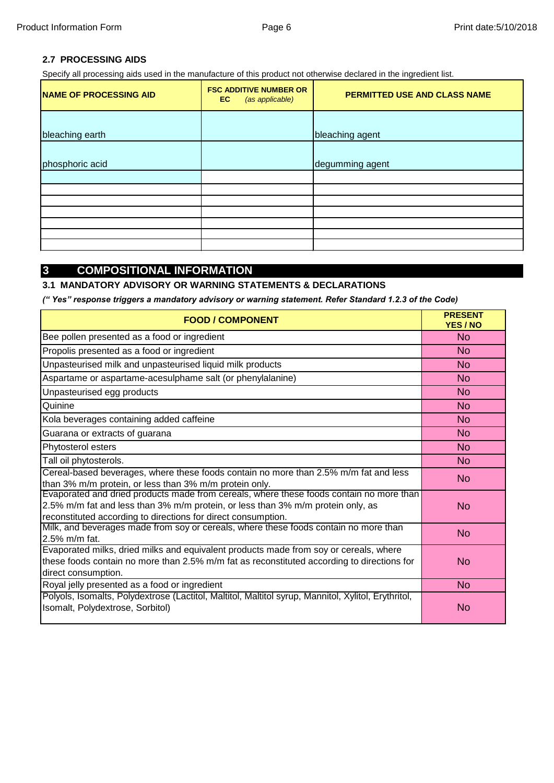#### **2.7 PROCESSING AIDS**

Specify all processing aids used in the manufacture of this product not otherwise declared in the ingredient list.

| <b>NAME OF PROCESSING AID</b> | <b>FSC ADDITIVE NUMBER OR</b><br>(as applicable)<br>EC. | PERMITTED USE AND CLASS NAME |
|-------------------------------|---------------------------------------------------------|------------------------------|
| bleaching earth               |                                                         | bleaching agent              |
| phosphoric acid               |                                                         | degumming agent              |
|                               |                                                         |                              |
|                               |                                                         |                              |
|                               |                                                         |                              |
|                               |                                                         |                              |
|                               |                                                         |                              |
|                               |                                                         |                              |
|                               |                                                         |                              |

# **3 COMPOSITIONAL INFORMATION**

#### **3.1 MANDATORY ADVISORY OR WARNING STATEMENTS & DECLARATIONS**

*(" Yes" response triggers a mandatory advisory or warning statement. Refer Standard 1.2.3 of the Code)*

| <b>FOOD / COMPONENT</b>                                                                                                                                                                                                                     | <b>PRESENT</b><br>YES / NO |
|---------------------------------------------------------------------------------------------------------------------------------------------------------------------------------------------------------------------------------------------|----------------------------|
| Bee pollen presented as a food or ingredient                                                                                                                                                                                                | <b>No</b>                  |
| Propolis presented as a food or ingredient                                                                                                                                                                                                  | N <sub>o</sub>             |
| Unpasteurised milk and unpasteurised liquid milk products                                                                                                                                                                                   | <b>No</b>                  |
| Aspartame or aspartame-acesulphame salt (or phenylalanine)                                                                                                                                                                                  | No                         |
| Unpasteurised egg products                                                                                                                                                                                                                  | No                         |
| Quinine                                                                                                                                                                                                                                     | <b>No</b>                  |
| Kola beverages containing added caffeine                                                                                                                                                                                                    | <b>No</b>                  |
| Guarana or extracts of guarana                                                                                                                                                                                                              | <b>No</b>                  |
| Phytosterol esters                                                                                                                                                                                                                          | No                         |
| Tall oil phytosterols.                                                                                                                                                                                                                      | <b>No</b>                  |
| Cereal-based beverages, where these foods contain no more than 2.5% m/m fat and less<br>than 3% m/m protein, or less than 3% m/m protein only.                                                                                              | No                         |
| Evaporated and dried products made from cereals, where these foods contain no more than<br>2.5% m/m fat and less than 3% m/m protein, or less than 3% m/m protein only, as<br>reconstituted according to directions for direct consumption. | <b>No</b>                  |
| Milk, and beverages made from soy or cereals, where these foods contain no more than<br>2.5% m/m fat.                                                                                                                                       | <b>No</b>                  |
| Evaporated milks, dried milks and equivalent products made from soy or cereals, where<br>these foods contain no more than 2.5% m/m fat as reconstituted according to directions for<br>direct consumption.                                  | No                         |
| Royal jelly presented as a food or ingredient                                                                                                                                                                                               | <b>No</b>                  |
| Polyols, Isomalts, Polydextrose (Lactitol, Maltitol, Maltitol syrup, Mannitol, Xylitol, Erythritol,<br>Isomalt, Polydextrose, Sorbitol)                                                                                                     | No                         |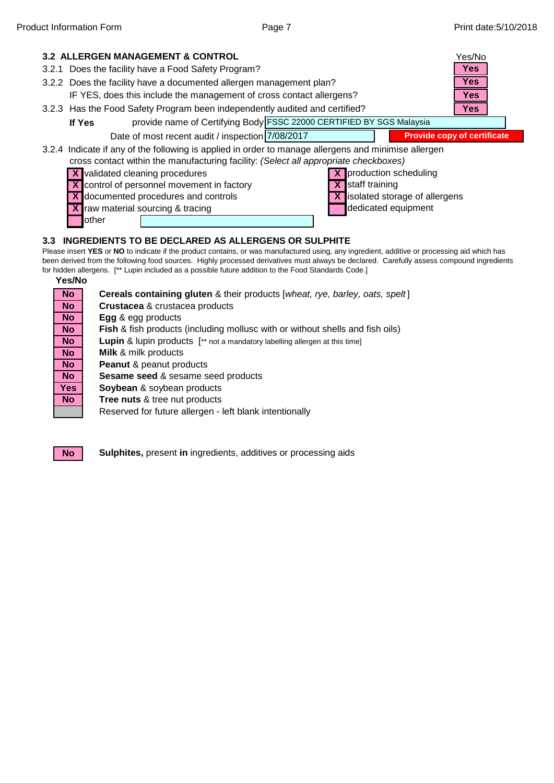

# other

#### **3.3 INGREDIENTS TO BE DECLARED AS ALLERGENS OR SULPHITE**

Please insert **YES** or **NO** to indicate if the product contains, or was manufactured using, any ingredient, additive or processing aid which has been derived from the following food sources. Highly processed derivatives must always be declared. Carefully assess compound ingredients for hidden allergens. [\*\* Lupin included as a possible future addition to the Food Standards Code.]

**Yes/No Cereals containing gluten** & their products [*wheat, rye, barley, oats, spelt* ] **Crustacea** & crustacea products **Egg** & egg products **Fish** & fish products (including mollusc with or without shells and fish oils) **Lupin** & lupin products  $[\cdot \cdot]$  not a mandatory labelling allergen at this time] **Milk** & milk products **Peanut** & peanut products **Sesame seed** & sesame seed products **Soybean** & soybean products **Tree nuts** & tree nut products Reserved for future allergen - left blank intentionally **No No No No No No No No Yes No**



**No Sulphites,** present in ingredients, additives or processing aids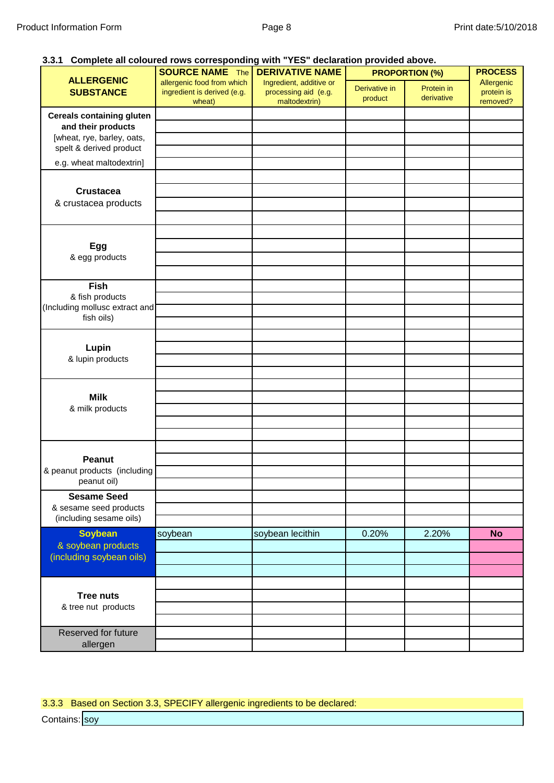#### **3.3.1 Complete all coloured rows corresponding with "YES" declaration provided above.**

| .u. vulprusu ali vulp                                                                                           | <b>SOURCE NAME The DERIVATIVE NAME</b>                              | $\cdots$ . The contract of $\cdots$ is the contract of $\cdots$ in the contract where $\cdots$ |                          | <b>PROPORTION (%)</b>    | <b>PROCESS</b>                       |
|-----------------------------------------------------------------------------------------------------------------|---------------------------------------------------------------------|------------------------------------------------------------------------------------------------|--------------------------|--------------------------|--------------------------------------|
| <b>ALLERGENIC</b><br><b>SUBSTANCE</b>                                                                           | allergenic food from which<br>ingredient is derived (e.g.<br>wheat) | Ingredient, additive or<br>processing aid (e.g.<br>maltodextrin)                               | Derivative in<br>product | Protein in<br>derivative | Allergenic<br>protein is<br>removed? |
| <b>Cereals containing gluten</b><br>and their products<br>[wheat, rye, barley, oats,<br>spelt & derived product |                                                                     |                                                                                                |                          |                          |                                      |
| e.g. wheat maltodextrin]                                                                                        |                                                                     |                                                                                                |                          |                          |                                      |
| <b>Crustacea</b><br>& crustacea products                                                                        |                                                                     |                                                                                                |                          |                          |                                      |
| Egg<br>& egg products                                                                                           |                                                                     |                                                                                                |                          |                          |                                      |
| <b>Fish</b><br>& fish products<br>(Including mollusc extract and<br>fish oils)                                  |                                                                     |                                                                                                |                          |                          |                                      |
| Lupin<br>& lupin products                                                                                       |                                                                     |                                                                                                |                          |                          |                                      |
| <b>Milk</b><br>& milk products                                                                                  |                                                                     |                                                                                                |                          |                          |                                      |
| Peanut<br>& peanut products (including<br>peanut oil)                                                           |                                                                     |                                                                                                |                          |                          |                                      |
| <b>Sesame Seed</b><br>& sesame seed products<br>(including sesame oils)                                         |                                                                     |                                                                                                |                          |                          |                                      |
| <b>Soybean</b><br>& soybean products<br>(including soybean oils)                                                | soybean                                                             | soybean lecithin                                                                               | 0.20%                    | 2.20%                    | <b>No</b>                            |
| <b>Tree nuts</b><br>& tree nut products                                                                         |                                                                     |                                                                                                |                          |                          |                                      |
| Reserved for future<br>allergen                                                                                 |                                                                     |                                                                                                |                          |                          |                                      |

# 3.3.3 Based on Section 3.3, SPECIFY allergenic ingredients to be declared:

Contains: soy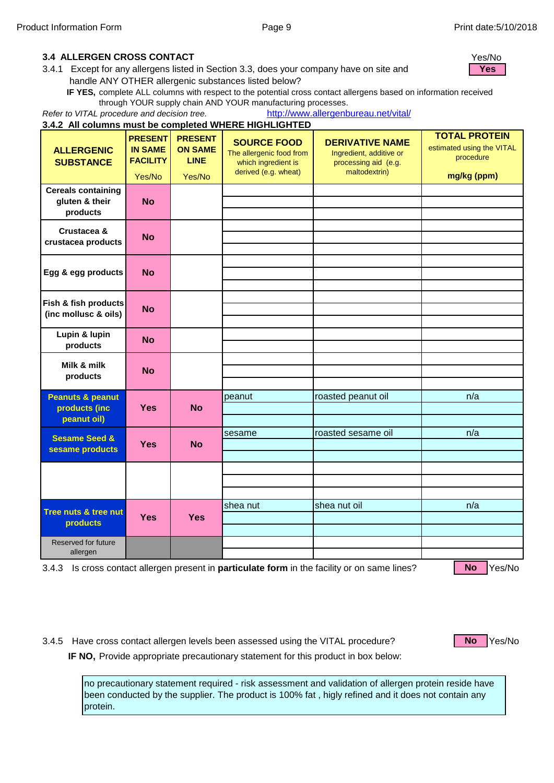#### **IF 3.4 ALLERGEN CROSS CONTACT** Yes/No

**N** 3.4.1 Except for any allergens listed in Section 3.3, does your company have on site and handle ANY OTHER allergenic substances listed below?

**IF YES,** complete ALL columns with respect to the potential cross contact allergens based on information received through YOUR supply chain AND YOUR manufacturing processes.

*Refer to VITAL procedure and decision tree.*  [http](http://www.allergenbureau.net/vital/)://www.allergenbureau.net/vital/

|                                                             |                                                               |                                                           | 3.4.2 All columns must be completed WHERE HIGHLIGHTED                                         |                                                                                            |                                                                               |
|-------------------------------------------------------------|---------------------------------------------------------------|-----------------------------------------------------------|-----------------------------------------------------------------------------------------------|--------------------------------------------------------------------------------------------|-------------------------------------------------------------------------------|
| <b>ALLERGENIC</b><br><b>SUBSTANCE</b>                       | <b>PRESENT</b><br><b>IN SAME</b><br><b>FACILITY</b><br>Yes/No | <b>PRESENT</b><br><b>ON SAME</b><br><b>LINE</b><br>Yes/No | <b>SOURCE FOOD</b><br>The allergenic food from<br>which ingredient is<br>derived (e.g. wheat) | <b>DERIVATIVE NAME</b><br>Ingredient, additive or<br>processing aid (e.g.<br>maltodextrin) | <b>TOTAL PROTEIN</b><br>estimated using the VITAL<br>procedure<br>mg/kg (ppm) |
| <b>Cereals containing</b><br>gluten & their<br>products     | <b>No</b>                                                     |                                                           |                                                                                               |                                                                                            |                                                                               |
| Crustacea &<br>crustacea products                           | <b>No</b>                                                     |                                                           |                                                                                               |                                                                                            |                                                                               |
| Egg & egg products                                          | <b>No</b>                                                     |                                                           |                                                                                               |                                                                                            |                                                                               |
| Fish & fish products<br>(inc mollusc & oils)                | <b>No</b>                                                     |                                                           |                                                                                               |                                                                                            |                                                                               |
| Lupin & lupin<br>products                                   | <b>No</b>                                                     |                                                           |                                                                                               |                                                                                            |                                                                               |
| Milk & milk<br>products                                     | <b>No</b>                                                     |                                                           |                                                                                               |                                                                                            |                                                                               |
| <b>Peanuts &amp; peanut</b><br>products (inc<br>peanut oil) | <b>Yes</b>                                                    | <b>No</b>                                                 | peanut                                                                                        | roasted peanut oil                                                                         | n/a                                                                           |
| <b>Sesame Seed &amp;</b><br>sesame products                 | <b>Yes</b>                                                    | <b>No</b>                                                 | sesame                                                                                        | roasted sesame oil                                                                         | n/a                                                                           |
|                                                             |                                                               |                                                           |                                                                                               |                                                                                            |                                                                               |
| Tree nuts & tree nut<br>products                            | <b>Yes</b>                                                    | <b>Yes</b>                                                | shea nut                                                                                      | shea nut oil                                                                               | n/a                                                                           |
| Reserved for future<br>allergen                             |                                                               |                                                           |                                                                                               |                                                                                            |                                                                               |

3.4.3 Is cross contact allergen present in **particulate form** in the facility or on same lines? No Yes/No

**No**

3.4.5 Have cross contact allergen levels been assessed using the VITAL procedure? **No Pres/No** 

**No**

**IF NO,** Provide appropriate precautionary statement for this product in box below:

no precautionary statement required - risk assessment and validation of allergen protein reside have been conducted by the supplier. The product is 100% fat , higly refined and it does not contain any protein.

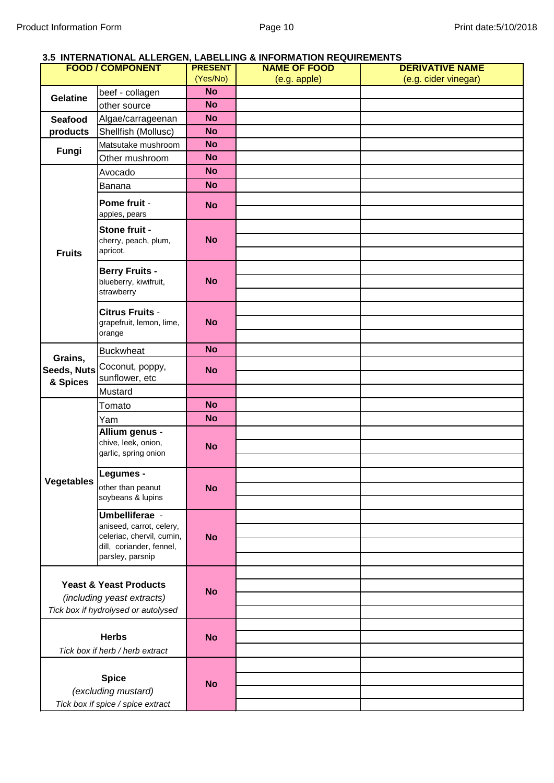#### **3.5 INTERNATIONAL ALLERGEN, LABELLING & INFORMATION REQUIREMENTS**

| <b>FOOD/COMPONENT</b>              |                                                                                                                         | <b>PRESENT</b> | <b>NAME OF FOOD</b> | <b>DERIVATIVE NAME</b> |
|------------------------------------|-------------------------------------------------------------------------------------------------------------------------|----------------|---------------------|------------------------|
|                                    |                                                                                                                         | (Yes/No)       | (e.g. apple)        | (e.g. cider vinegar)   |
| <b>Gelatine</b>                    | beef - collagen                                                                                                         | <b>No</b>      |                     |                        |
|                                    | other source                                                                                                            | <b>No</b>      |                     |                        |
| Seafood                            | Algae/carrageenan                                                                                                       | <b>No</b>      |                     |                        |
| products                           | Shellfish (Mollusc)                                                                                                     | <b>No</b>      |                     |                        |
|                                    | Matsutake mushroom                                                                                                      | <b>No</b>      |                     |                        |
| Fungi                              | Other mushroom                                                                                                          | <b>No</b>      |                     |                        |
|                                    | Avocado                                                                                                                 | <b>No</b>      |                     |                        |
|                                    | Banana                                                                                                                  | <b>No</b>      |                     |                        |
|                                    | Pome fruit -<br>apples, pears                                                                                           | <b>No</b>      |                     |                        |
| <b>Fruits</b>                      | Stone fruit -<br>cherry, peach, plum,<br>apricot.                                                                       | <b>No</b>      |                     |                        |
|                                    | <b>Berry Fruits -</b><br>blueberry, kiwifruit,<br>strawberry                                                            | <b>No</b>      |                     |                        |
|                                    | Citrus Fruits -<br>grapefruit, lemon, lime,<br>orange                                                                   | <b>No</b>      |                     |                        |
|                                    | <b>Buckwheat</b>                                                                                                        | <b>No</b>      |                     |                        |
| Grains,<br>Seeds, Nuts<br>& Spices | Coconut, poppy,<br>sunflower, etc                                                                                       | <b>No</b>      |                     |                        |
|                                    | Mustard                                                                                                                 |                |                     |                        |
|                                    | Tomato                                                                                                                  | <b>No</b>      |                     |                        |
|                                    | Yam                                                                                                                     | <b>No</b>      |                     |                        |
|                                    | Allium genus -<br>chive, leek, onion,<br>garlic, spring onion                                                           | <b>No</b>      |                     |                        |
| <b>Vegetables</b>                  | Legumes -<br>other than peanut<br>soybeans & lupins                                                                     | <b>No</b>      |                     |                        |
|                                    | Umbelliferae -<br>aniseed, carrot, celery,<br>celeriac, chervil, cumin,<br>dill, coriander, fennel,<br>parsley, parsnip | <b>No</b>      |                     |                        |
|                                    | <b>Yeast &amp; Yeast Products</b><br>(including yeast extracts)<br>Tick box if hydrolysed or autolysed                  | <b>No</b>      |                     |                        |
|                                    | <b>Herbs</b><br>Tick box if herb / herb extract                                                                         | <b>No</b>      |                     |                        |
|                                    | <b>Spice</b><br>(excluding mustard)<br>Tick box if spice / spice extract                                                | <b>No</b>      |                     |                        |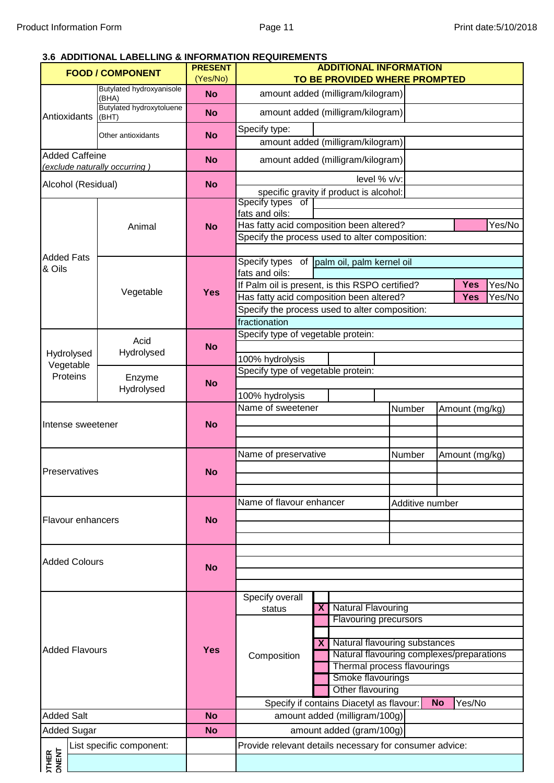#### **3.6 ADDITIONAL LABELLING & INFORMATION REQUIREMENTS**

|                                | <b>FOOD / COMPONENT</b>           | <b>PRESENT</b> | <b>ADDITIONAL INFORMATION</b>                                                              |                                                              |                                           |                |            |        |
|--------------------------------|-----------------------------------|----------------|--------------------------------------------------------------------------------------------|--------------------------------------------------------------|-------------------------------------------|----------------|------------|--------|
|                                | <b>Butylated hydroxyanisole</b>   | (Yes/No)       |                                                                                            | TO BE PROVIDED WHERE PROMPTED                                |                                           |                |            |        |
|                                | (BHA)                             | <b>No</b>      |                                                                                            | amount added (milligram/kilogram)                            |                                           |                |            |        |
| Antioxidants                   | Butylated hydroxytoluene<br>(BHT) | <b>No</b>      |                                                                                            | amount added (milligram/kilogram)                            |                                           |                |            |        |
|                                | Other antioxidants                | <b>No</b>      | Specify type:                                                                              |                                                              |                                           |                |            |        |
| <b>Added Caffeine</b>          |                                   |                |                                                                                            | amount added (milligram/kilogram)                            |                                           |                |            |        |
|                                | (exclude naturally occurring)     | <b>No</b>      |                                                                                            | amount added (milligram/kilogram)                            |                                           |                |            |        |
| Alcohol (Residual)             |                                   | <b>No</b>      |                                                                                            | level % v/v:                                                 |                                           |                |            |        |
|                                |                                   |                | Specify types of                                                                           | specific gravity if product is alcohol:                      |                                           |                |            |        |
|                                |                                   |                | fats and oils:                                                                             |                                                              |                                           |                |            |        |
|                                | Animal                            | <b>No</b>      | Has fatty acid composition been altered?<br>Specify the process used to alter composition: |                                                              |                                           |                |            | Yes/No |
|                                |                                   |                |                                                                                            |                                                              |                                           |                |            |        |
| <b>Added Fats</b><br>& Oils    |                                   |                | Specify types of palm oil, palm kernel oil                                                 |                                                              |                                           |                |            |        |
|                                |                                   |                | fats and oils:<br>If Palm oil is present, is this RSPO certified?                          |                                                              |                                           |                | <b>Yes</b> | Yes/No |
|                                | Vegetable                         | <b>Yes</b>     | Has fatty acid composition been altered?                                                   |                                                              |                                           |                | <b>Yes</b> | Yes/No |
|                                |                                   |                | Specify the process used to alter composition:                                             |                                                              |                                           |                |            |        |
|                                |                                   |                | fractionation                                                                              |                                                              |                                           |                |            |        |
|                                | Acid                              |                | Specify type of vegetable protein:                                                         |                                                              |                                           |                |            |        |
| Hydrolysed                     | Hydrolysed                        | <b>No</b>      | 100% hydrolysis                                                                            |                                                              |                                           |                |            |        |
| Vegetable                      |                                   |                | Specify type of vegetable protein:                                                         |                                                              |                                           |                |            |        |
| Proteins                       | Enzyme                            | <b>No</b>      |                                                                                            |                                                              |                                           |                |            |        |
| Hydrolysed                     |                                   |                | 100% hydrolysis                                                                            |                                                              |                                           |                |            |        |
|                                |                                   |                | Name of sweetener                                                                          |                                                              | Number                                    | Amount (mg/kg) |            |        |
| Intense sweetener              |                                   | <b>No</b>      |                                                                                            |                                                              |                                           |                |            |        |
|                                |                                   |                |                                                                                            |                                                              |                                           |                |            |        |
|                                |                                   |                | Name of preservative                                                                       |                                                              | Number                                    | Amount (mg/kg) |            |        |
| Preservatives                  |                                   | <b>No</b>      |                                                                                            |                                                              |                                           |                |            |        |
|                                |                                   |                |                                                                                            |                                                              |                                           |                |            |        |
|                                |                                   |                | Name of flavour enhancer                                                                   |                                                              | Additive number                           |                |            |        |
| <b>Flavour enhancers</b>       |                                   | <b>No</b>      |                                                                                            |                                                              |                                           |                |            |        |
|                                |                                   |                |                                                                                            |                                                              |                                           |                |            |        |
|                                |                                   |                |                                                                                            |                                                              |                                           |                |            |        |
| <b>Added Colours</b>           |                                   | <b>No</b>      |                                                                                            |                                                              |                                           |                |            |        |
|                                |                                   |                |                                                                                            |                                                              |                                           |                |            |        |
|                                |                                   |                | Specify overall                                                                            |                                                              |                                           |                |            |        |
|                                |                                   |                | status                                                                                     | <b>Natural Flavouring</b><br>$\overline{\mathbf{X}}$         |                                           |                |            |        |
| <b>Added Flavours</b>          |                                   |                |                                                                                            | <b>Flavouring precursors</b>                                 |                                           |                |            |        |
|                                |                                   |                |                                                                                            | Natural flavouring substances<br>$\mathbf{X}$                |                                           |                |            |        |
|                                |                                   | <b>Yes</b>     | Composition                                                                                |                                                              | Natural flavouring complexes/preparations |                |            |        |
|                                |                                   |                |                                                                                            | Thermal process flavourings                                  |                                           |                |            |        |
|                                |                                   |                | Smoke flavourings                                                                          |                                                              |                                           |                |            |        |
|                                |                                   |                |                                                                                            | Other flavouring<br>Specify if contains Diacetyl as flavour: |                                           | <b>No</b>      | Yes/No     |        |
| <b>Added Salt</b><br><b>No</b> |                                   |                |                                                                                            | amount added (milligram/100g)                                |                                           |                |            |        |
| <b>Added Sugar</b>             |                                   | <b>No</b>      |                                                                                            | amount added (gram/100g)                                     |                                           |                |            |        |
|                                | List specific component:          |                | Provide relevant details necessary for consumer advice:                                    |                                                              |                                           |                |            |        |
| <b>JTHER</b><br>JNENT          |                                   |                |                                                                                            |                                                              |                                           |                |            |        |
|                                |                                   |                |                                                                                            |                                                              |                                           |                |            |        |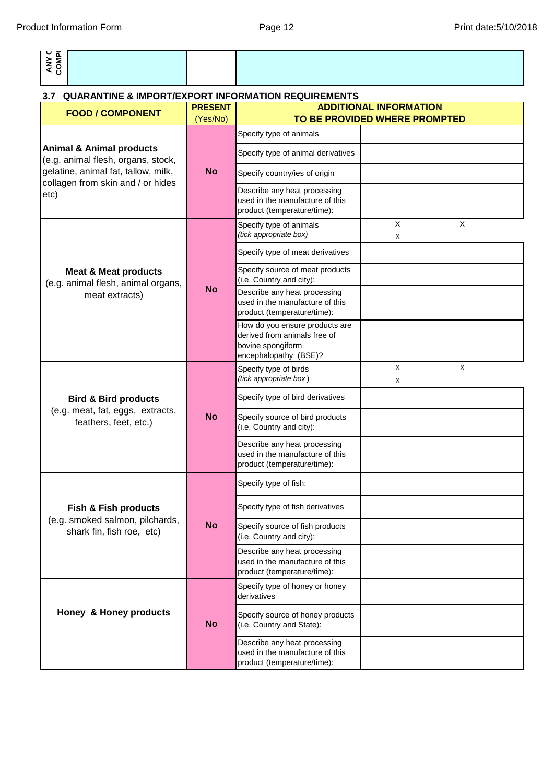| ANY C<br>COMP(                                                            |                            |                                                                                                              |                                                                |
|---------------------------------------------------------------------------|----------------------------|--------------------------------------------------------------------------------------------------------------|----------------------------------------------------------------|
| <b>QUARANTINE &amp; IMPORT/EXPORT INFORMATION REQUIREMENTS</b><br>3.7     |                            |                                                                                                              |                                                                |
| <b>FOOD / COMPONENT</b>                                                   | <b>PRESENT</b><br>(Yes/No) |                                                                                                              | <b>ADDITIONAL INFORMATION</b><br>TO BE PROVIDED WHERE PROMPTED |
|                                                                           |                            | Specify type of animals                                                                                      |                                                                |
| <b>Animal &amp; Animal products</b><br>(e.g. animal flesh, organs, stock, |                            | Specify type of animal derivatives                                                                           |                                                                |
| gelatine, animal fat, tallow, milk,<br>collagen from skin and / or hides  | <b>No</b>                  | Specify country/ies of origin                                                                                |                                                                |
| etc)                                                                      |                            | Describe any heat processing<br>used in the manufacture of this<br>product (temperature/time):               |                                                                |
|                                                                           |                            | Specify type of animals<br>(tick appropriate box)                                                            | $\times$<br>X<br>X                                             |
|                                                                           |                            | Specify type of meat derivatives                                                                             |                                                                |
| <b>Meat &amp; Meat products</b><br>(e.g. animal flesh, animal organs,     |                            | Specify source of meat products<br>(i.e. Country and city):                                                  |                                                                |
| meat extracts)                                                            | <b>No</b>                  | Describe any heat processing<br>used in the manufacture of this<br>product (temperature/time):               |                                                                |
|                                                                           |                            | How do you ensure products are<br>derived from animals free of<br>bovine spongiform<br>encephalopathy (BSE)? |                                                                |
| <b>Bird &amp; Bird products</b>                                           | <b>No</b>                  | Specify type of birds<br>(tick appropriate box)                                                              | X<br>$\times$<br>X                                             |
|                                                                           |                            | Specify type of bird derivatives                                                                             |                                                                |
| (e.g. meat, fat, eggs, extracts,<br>feathers, feet, etc.)                 |                            | Specify source of bird products<br>(i.e. Country and city):                                                  |                                                                |
|                                                                           |                            | Describe any heat processing<br>used in the manufacture of this<br>product (temperature/time):               |                                                                |
|                                                                           |                            | Specify type of fish:                                                                                        |                                                                |
| <b>Fish &amp; Fish products</b>                                           |                            | Specify type of fish derivatives                                                                             |                                                                |
| (e.g. smoked salmon, pilchards,<br>shark fin, fish roe, etc)              | <b>No</b>                  | Specify source of fish products<br>(i.e. Country and city):                                                  |                                                                |
|                                                                           |                            | Describe any heat processing<br>used in the manufacture of this<br>product (temperature/time):               |                                                                |
|                                                                           |                            | Specify type of honey or honey<br>derivatives                                                                |                                                                |
| Honey & Honey products                                                    | <b>No</b>                  | Specify source of honey products<br>(i.e. Country and State):                                                |                                                                |
|                                                                           |                            | Describe any heat processing<br>used in the manufacture of this<br>product (temperature/time):               |                                                                |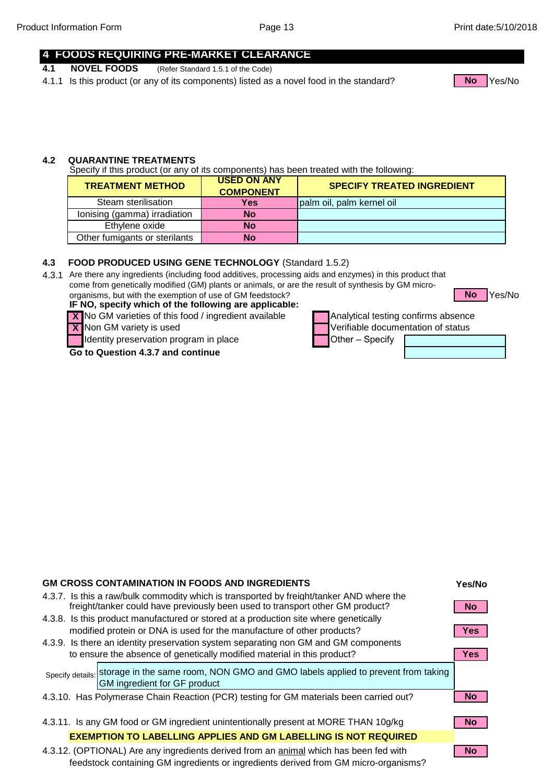Yes/No

#### **4 FOODS REQUIRING PRE-MARKET CLEARANCE**

- **4.1 NOVEL FOODS** (Refer Standard 1.5.1 of the Code)
- 4.1.1 Is this product (or any of its components) listed as a novel food in the standard? No Nes/No



#### **4.2 QUARANTINE TREATMENTS**

Specify if this product (or any of its components) has been treated with the following:

| <b>TREATMENT METHOD</b>       | <b>USED ON ANY</b><br><b>COMPONENT</b> | <b>SPECIFY TREATED INGREDIENT</b> |
|-------------------------------|----------------------------------------|-----------------------------------|
| Steam sterilisation           | <b>Yes</b>                             | palm oil, palm kernel oil         |
| lonising (gamma) irradiation  | No                                     |                                   |
| Ethylene oxide                | <b>No</b>                              |                                   |
| Other fumigants or sterilants | No                                     |                                   |

#### **4.3 FOOD PRODUCED USING GENE TECHNOLOGY** (Standard 1.5.2)

4.3.1 Are there any ingredients (including food additives, processing aids and enzymes) in this product that come from genetically modified (GM) plants or animals, or are the result of synthesis by GM microorganisms, but with the exemption of use of GM feedstock? **No**

IF NO, specify which of the following are applicable: **IF NO, specify which of the following are applicable:**

**X** No GM varieties of this food / ingredient available **Analytical testing confirms absence** 

**X**

Identity preservation program in place  $\Box$  Other – Specify

#### **Go to Question 4.3.7 and continue**



Non GM variety is used variable documentation of status

| <b>GM CROSS CONTAMINATION IN FOODS AND INGREDIENTS</b>                                                                                                                    | Yes/No     |
|---------------------------------------------------------------------------------------------------------------------------------------------------------------------------|------------|
| 4.3.7. Is this a raw/bulk commodity which is transported by freight/tanker AND where the<br>freight/tanker could have previously been used to transport other GM product? | <b>No</b>  |
| 4.3.8. Is this product manufactured or stored at a production site where genetically                                                                                      |            |
| modified protein or DNA is used for the manufacture of other products?                                                                                                    | <b>Yes</b> |
| 4.3.9. Is there an identity preservation system separating non GM and GM components                                                                                       |            |
| to ensure the absence of genetically modified material in this product?                                                                                                   | <b>Yes</b> |
| Specify details: storage in the same room, NON GMO and GMO labels applied to prevent from taking<br>GM ingredient for GF product                                          |            |
| 4.3.10. Has Polymerase Chain Reaction (PCR) testing for GM materials been carried out?                                                                                    |            |
|                                                                                                                                                                           |            |
| 4.3.11. Is any GM food or GM ingredient unintentionally present at MORE THAN 10g/kg                                                                                       | <b>No</b>  |
| <b>EXEMPTION TO LABELLING APPLIES AND GM LABELLING IS NOT REQUIRED</b>                                                                                                    |            |
| 4.3.12. (OPTIONAL) Are any ingredients derived from an animal which has been fed with                                                                                     | <b>No</b>  |

feedstock containing GM ingredients or ingredients derived from GM micro-organisms?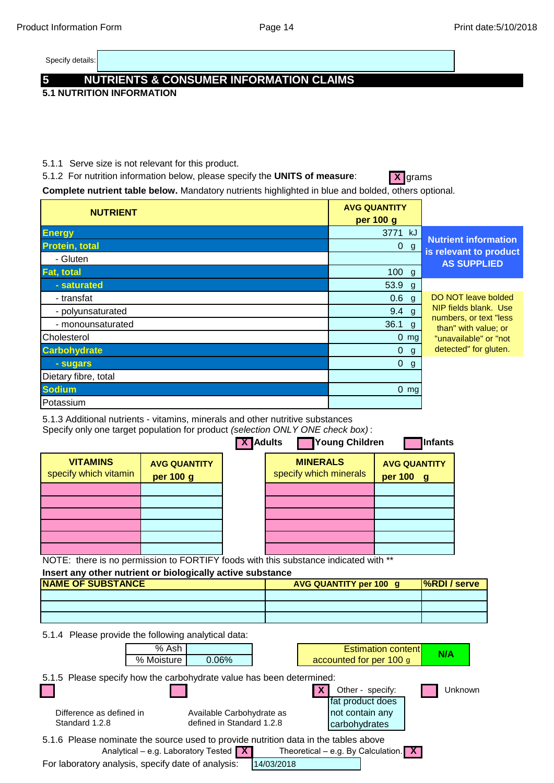Specify details:

# **5 NUTRIENTS & CONSUMER INFORMATION CLAIMS**

**5.1 NUTRITION INFORMATION**

5.1.1 Serve size is not relevant for this product.

5.1.2 For nutrition information below, please specify the **UNITS of measure:** X grams

Complete nutrient table below. Mandatory nutrients highlighted in blue and bolded, others optional.

| <b>NUTRIENT</b>       | <b>AVG QUANTITY</b><br>per 100 g |                                                       |
|-----------------------|----------------------------------|-------------------------------------------------------|
| <b>Energy</b>         | 3771 kJ                          |                                                       |
| <b>Protein, total</b> | 0 g                              | <b>Nutrient information</b><br>is relevant to product |
| - Gluten              |                                  | <b>AS SUPPLIED</b>                                    |
| <b>Fat, total</b>     | $100$ g                          |                                                       |
| - saturated           | 53.9 g                           |                                                       |
| - transfat            | 0.6 <sub>g</sub>                 | DO NOT leave bolded                                   |
| - polyunsaturated     | $9.4$ g                          | NIP fields blank. Use                                 |
| - monounsaturated     | $36.1$ g                         | numbers, or text "less<br>than" with value; or        |
| Cholesterol           | $0 \, \text{mg}$                 | "unavailable" or "not                                 |
| <b>Carbohydrate</b>   | $\overline{0}$<br>g              | detected" for gluten.                                 |
| - sugars              | $\overline{0}$<br>g              |                                                       |
| Dietary fibre, total  |                                  |                                                       |
| <b>Sodium</b>         | $0 \, \text{mg}$                 |                                                       |
| Potassium             |                                  |                                                       |

5.1.3 Additional nutrients - vitamins, minerals and other nutritive substances

Specify only one target population for product *(selection ONLY ONE check box)* :

| <b>VITAMINS</b><br><b>MINERALS</b><br><b>AVG QUANTITY</b><br><b>AVG QUANTITY</b><br>specify which minerals<br>specify which vitamin<br>per 100 g<br>per 100 g | <b>X</b> Adults | Young Children | <b>Infants</b> |
|---------------------------------------------------------------------------------------------------------------------------------------------------------------|-----------------|----------------|----------------|
|                                                                                                                                                               |                 |                |                |
|                                                                                                                                                               |                 |                |                |
|                                                                                                                                                               |                 |                |                |
|                                                                                                                                                               |                 |                |                |
|                                                                                                                                                               |                 |                |                |

NOTE: there is no permission to FORTIFY foods with this substance indicated with \*\*

# **Insert any other nutrient or biologically active substance**

| <b>NAME OF SUBSTANCE</b> | <b>AVG QUANTITY per 100 g/</b> | <b>S</b> %RDI / serve |
|--------------------------|--------------------------------|-----------------------|
|                          |                                |                       |
|                          |                                |                       |
|                          |                                |                       |

5.1.4 Please provide the following analytical data:

|                                                                                                                     | % Ash      |                           |            |  |               | <b>Estimation contentl</b> |  | N/A     |
|---------------------------------------------------------------------------------------------------------------------|------------|---------------------------|------------|--|---------------|----------------------------|--|---------|
|                                                                                                                     | % Moisture | $0.06\%$                  |            |  |               | accounted for per 100 g    |  |         |
| 5.1.5 Please specify how the carbohydrate value has been determined:                                                |            |                           |            |  |               |                            |  |         |
|                                                                                                                     |            |                           |            |  |               | Other - specify:           |  | Unknown |
|                                                                                                                     |            |                           |            |  |               | fat product does           |  |         |
| Difference as defined in                                                                                            |            | Available Carbohydrate as |            |  |               | not contain any            |  |         |
| Standard 1.2.8                                                                                                      |            | defined in Standard 1.2.8 |            |  | carbohydrates |                            |  |         |
| 5.1.6 Please nominate the source used to provide nutrition data in the tables above                                 |            |                           |            |  |               |                            |  |         |
| Analytical – e.g. Laboratory Tested $\boxed{\mathbf{X}}$<br>Theoretical – e.g. By Calculation. $\boxed{\mathbf{X}}$ |            |                           |            |  |               |                            |  |         |
| For laboratory analysis, specify date of analysis:                                                                  |            |                           | 14/03/2018 |  |               |                            |  |         |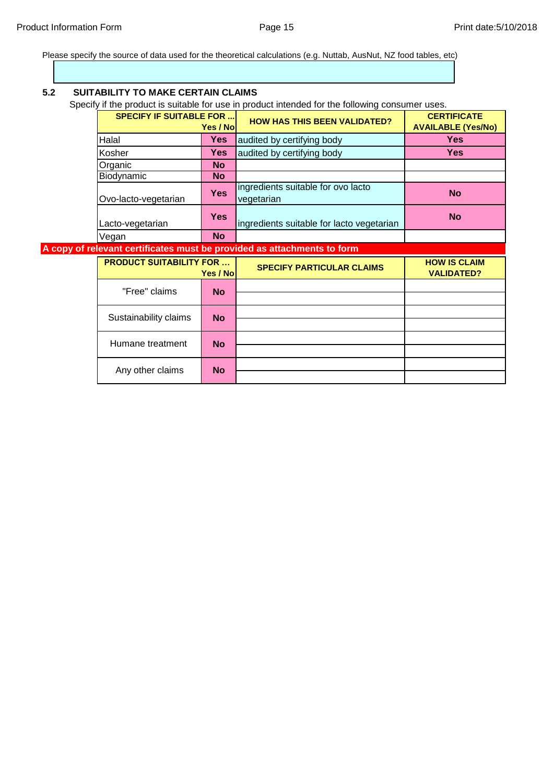Please specify the source of data used for the theoretical calculations (e.g. Nuttab, AusNut, NZ food tables, etc)

| 5.2 | <b>SUITABILITY TO MAKE CERTAIN CLAIMS</b> |            | Specify if the product is suitable for use in product intended for the following consumer uses. |                                                 |
|-----|-------------------------------------------|------------|-------------------------------------------------------------------------------------------------|-------------------------------------------------|
|     | <b>SPECIFY IF SUITABLE FOR </b>           | Yes / Nol  | <b>HOW HAS THIS BEEN VALIDATED?</b>                                                             | <b>CERTIFICATE</b><br><b>AVAILABLE (Yes/No)</b> |
|     | Halal                                     | <b>Yes</b> | audited by certifying body                                                                      | <b>Yes</b>                                      |
|     | Kosher                                    | <b>Yes</b> | audited by certifying body                                                                      | <b>Yes</b>                                      |
|     | Organic                                   | <b>No</b>  |                                                                                                 |                                                 |
|     | Biodynamic                                | <b>No</b>  |                                                                                                 |                                                 |
|     | Ovo-lacto-vegetarian                      | <b>Yes</b> | ingredients suitable for ovo lacto<br>vegetarian                                                | <b>No</b>                                       |
|     | Lacto-vegetarian                          |            | ingredients suitable for lacto vegetarian                                                       | <b>No</b>                                       |
|     | Vegan                                     | <b>No</b>  |                                                                                                 |                                                 |
|     |                                           |            | A copy of relevant certificates must be provided as attachments to form                         |                                                 |
|     | <b>PRODUCT SUITABILITY FOR </b>           | Yes / No   | <b>SPECIFY PARTICULAR CLAIMS</b>                                                                | <b>HOW IS CLAIM</b><br><b>VALIDATED?</b>        |
|     | "Free" claims                             | <b>No</b>  |                                                                                                 |                                                 |
|     | Sustainability claims                     | <b>No</b>  |                                                                                                 |                                                 |
|     | Humane treatment                          | <b>No</b>  |                                                                                                 |                                                 |
|     | Any other claims                          | <b>No</b>  |                                                                                                 |                                                 |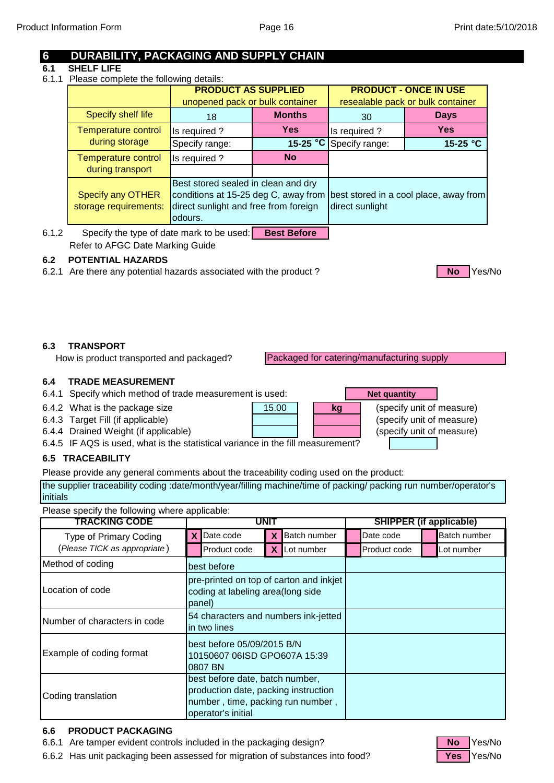# **6 DURABILITY, PACKAGING AND SUPPLY CHAIN**

#### **6.1 SHELF LIFE**

6.1.1 Please complete the following details:

|                                                   | <b>PRODUCT AS SUPPLIED</b><br>unopened pack or bulk container                                                                   |            |                 | <b>PRODUCT - ONCE IN USE</b><br>resealable pack or bulk container |
|---------------------------------------------------|---------------------------------------------------------------------------------------------------------------------------------|------------|-----------------|-------------------------------------------------------------------|
| <b>Specify shelf life</b>                         | <b>Months</b><br>18                                                                                                             |            | 30              | <b>Days</b>                                                       |
| <b>Temperature control</b>                        | Is required?                                                                                                                    | <b>Yes</b> | Is required?    | <b>Yes</b>                                                        |
| during storage                                    | Specify range:                                                                                                                  | 15-25 $°C$ | Specify range:  | 15-25 $^{\circ}$ C                                                |
| <b>Temperature control</b>                        | <b>No</b><br>Is required?                                                                                                       |            |                 |                                                                   |
| during transport                                  |                                                                                                                                 |            |                 |                                                                   |
| <b>Specify any OTHER</b><br>storage requirements: | Best stored sealed in clean and dry<br>conditions at 15-25 deg C, away from<br>direct sunlight and free from foreign<br>odours. |            | direct sunlight | best stored in a cool place, away from                            |

6.1.2 Specify the type of date mark to be used: Refer to AFGC Date Marking Guide **Best Before**

## **6.2 POTENTIAL HAZARDS**

6.2.1 Are there any potential hazards associated with the product ? **No No No Yes/No** 

#### **6.3 TRANSPORT**

How is product transported and packaged?

Packaged for catering/manufacturing supply

### **6.4 TRADE MEASUREMENT**

6.4.1 Specify which method of trade measurement is used:

- 6.4.2 What is the package size **(b)** 15.00 **(b) kg** (specify unit of measure)
- 6.4.3 Target Fill (if applicable) **(b)** (specify unit of measure)
- 6.4.4 Drained Weight (if applicable) **CALC CONSERVING (Specify unit of measure)**

6.4.5 IF AQS is used, what is the statistical variance in the fill measurement?

#### **6.5 TRACEABILITY**

Please provide any general comments about the traceability coding used on the product:

the supplier traceability coding :date/month/year/filling machine/time of packing/ packing run number/operator's initials

15.00 **kg**

Please specify the following where applicable:

| <b>TRACKING CODE</b>         | UNI1                                                                                   |                                                                                                                                    | <b>SHIPPER (if applicable)</b> |              |                     |  |              |
|------------------------------|----------------------------------------------------------------------------------------|------------------------------------------------------------------------------------------------------------------------------------|--------------------------------|--------------|---------------------|--|--------------|
| Type of Primary Coding       |                                                                                        | Date code                                                                                                                          |                                | Batch number | Date code           |  | Batch number |
| (Please TICK as appropriate) |                                                                                        | Product code                                                                                                                       |                                | X Lot number | <b>Product code</b> |  | Lot number   |
| Method of coding             |                                                                                        | best before                                                                                                                        |                                |              |                     |  |              |
| Location of code             | pre-printed on top of carton and inkjet<br>coding at labeling area(long side<br>panel) |                                                                                                                                    |                                |              |                     |  |              |
| Number of characters in code |                                                                                        | 54 characters and numbers ink-jetted<br>in two lines                                                                               |                                |              |                     |  |              |
| Example of coding format     |                                                                                        | best before 05/09/2015 B/N<br>10150607 06ISD GPO607A 15:39<br>0807 BN                                                              |                                |              |                     |  |              |
| Coding translation           |                                                                                        | best before date, batch number,<br>production date, packing instruction<br>number, time, packing run number,<br>operator's initial |                                |              |                     |  |              |

#### **6.6 PRODUCT PACKAGING**

6.6.1 Are tamper evident controls included in the packaging design? **No Strate Strate** No Yes/No

6.6.2 Has unit packaging been assessed for migration of substances into food? **Yes** Yes/No



# **Net quantity**

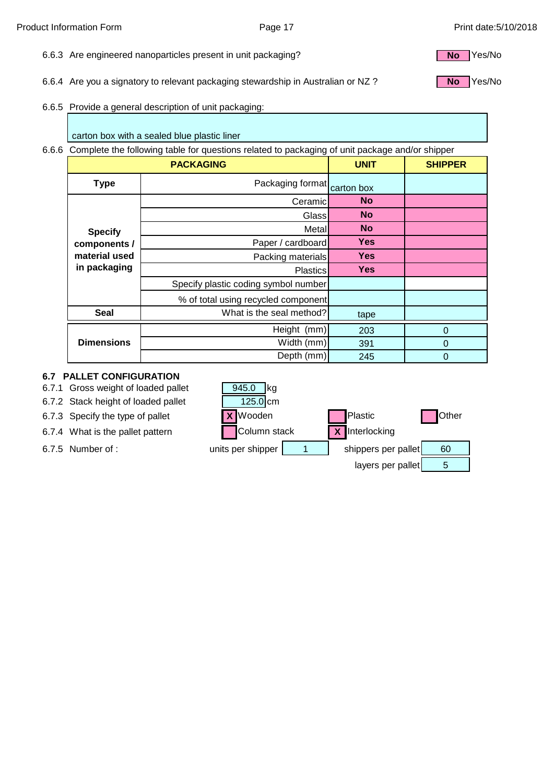- 6.6.3 Are engineered nanoparticles present in unit packaging?
- 6.6.4 Are you a signatory to relevant packaging stewardship in Australian or NZ ?
- 6.6.5 Provide a general description of unit packaging:

carton box with a sealed blue plastic liner

6.6.6 Complete the following table for questions related to packaging of unit package and/or shipper

|                               | <b>PACKAGING</b>                     | <b>UNIT</b> | <b>SHIPPER</b> |
|-------------------------------|--------------------------------------|-------------|----------------|
| <b>Type</b>                   | Packaging format                     | carton box  |                |
|                               | Ceramic                              | <b>No</b>   |                |
|                               | Glass                                | <b>No</b>   |                |
| <b>Specify</b>                | Metall                               | <b>No</b>   |                |
| components /                  | Paper / cardboard                    | <b>Yes</b>  |                |
| material used<br>in packaging | Packing materials                    | <b>Yes</b>  |                |
|                               | <b>Plastics</b>                      | <b>Yes</b>  |                |
|                               | Specify plastic coding symbol number |             |                |
|                               | % of total using recycled component  |             |                |
| <b>Seal</b>                   | What is the seal method?             | tape        |                |
|                               | Height (mm)                          | 203         | $\overline{0}$ |
| <b>Dimensions</b>             | Width (mm)                           | 391         | 0              |
|                               | Depth (mm)                           | 245         | 0              |

#### **6.7 PALLET CONFIGURATION**

6.7.1 Gross weight of loaded pallet

6.7.2 Stack height of loaded pallet

6.7.3 Specify the type of pallet **X** Wooden **Plastic** Plastic **C** Other 6.7.4 What is the pallet pattern Column stack **X** Interlocking 6.7.5 Number of : entitled whits per shipper | the shippers per pallet | 60 layers per pallet 945.0 kg 125.0 cm 5



**No**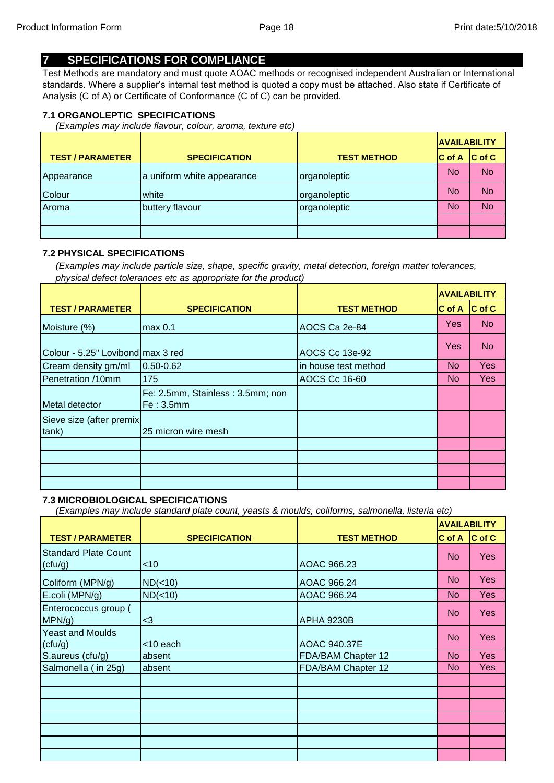# **7 SPECIFICATIONS FOR COMPLIANCE**

Test Methods are mandatory and must quote AOAC methods or recognised independent Australian or International standards. Where a supplier's internal test method is quoted a copy must be attached. Also state if Certificate of Analysis (C of A) or Certificate of Conformance (C of C) can be provided.

#### **7.1 ORGANOLEPTIC SPECIFICATIONS**

*(Examples may include flavour, colour, aroma, texture etc)*

|                         |                            |                    | <b>AVAILABILITY</b> |                     |
|-------------------------|----------------------------|--------------------|---------------------|---------------------|
| <b>TEST / PARAMETER</b> | <b>SPECIFICATION</b>       | <b>TEST METHOD</b> | <b>IC of A</b>      | $ C \text{ of } C $ |
| Appearance              | a uniform white appearance | organoleptic       | No                  | <b>No</b>           |
| Colour                  | white                      | organoleptic       | No                  | <b>No</b>           |
| Aroma                   | buttery flavour            | organoleptic       | No                  | <b>No</b>           |
|                         |                            |                    |                     |                     |
|                         |                            |                    |                     |                     |

#### **7.2 PHYSICAL SPECIFICATIONS**

*(Examples may include particle size, shape, specific gravity, metal detection, foreign matter tolerances, physical defect tolerances etc as appropriate for the product)*

|                                   |                                               |                      | <b>AVAILABILITY</b> |                    |
|-----------------------------------|-----------------------------------------------|----------------------|---------------------|--------------------|
| <b>TEST / PARAMETER</b>           | <b>SPECIFICATION</b>                          | <b>TEST METHOD</b>   | C of A              | $ C \text{ of } C$ |
| Moisture (%)                      | max 0.1                                       | AOCS Ca 2e-84        | Yes                 | <b>No</b>          |
| Colour - 5.25" Lovibond max 3 red |                                               | AOCS Cc 13e-92       | Yes                 | <b>No</b>          |
| Cream density gm/ml               | 0.50-0.62                                     | in house test method | <b>No</b>           | <b>Yes</b>         |
| Penetration /10mm                 | 175                                           | <b>AOCS Cc 16-60</b> | No.                 | Yes                |
| Metal detector                    | Fe: 2.5mm, Stainless: 3.5mm; non<br>Fe: 3.5mm |                      |                     |                    |
| Sieve size (after premix<br>tank) | 25 micron wire mesh                           |                      |                     |                    |
|                                   |                                               |                      |                     |                    |
|                                   |                                               |                      |                     |                    |
|                                   |                                               |                      |                     |                    |
|                                   |                                               |                      |                     |                    |

#### **7.3 MICROBIOLOGICAL SPECIFICATIONS**

*(Examples may include standard plate count, yeasts & moulds, coliforms, salmonella, listeria etc)*

|                                        |                      |                     |                | <b>AVAILABILITY</b> |  |
|----------------------------------------|----------------------|---------------------|----------------|---------------------|--|
| <b>TEST / PARAMETER</b>                | <b>SPECIFICATION</b> | <b>TEST METHOD</b>  | C of A         | $ C \text{ of } C$  |  |
| <b>Standard Plate Count</b><br>(ctu/g) | <10                  | AOAC 966.23         | No.            | <b>Yes</b>          |  |
| Coliform (MPN/g)                       | ND(<10)              | AOAC 966.24         | <b>No</b>      | <b>Yes</b>          |  |
| E.coli (MPN/g)                         | ND(<10)              | AOAC 966.24         | <b>No</b>      | Yes                 |  |
| Enterococcus group (<br>MPN/g)         | $3$                  | <b>APHA 9230B</b>   | N <sub>o</sub> | <b>Yes</b>          |  |
| <b>Yeast and Moulds</b><br>(ctu/g)     | <10 each             | <b>AOAC 940.37E</b> | <b>No</b>      | Yes                 |  |
| S.aureus (cfu/g)                       | absent               | FDA/BAM Chapter 12  | <b>No</b>      | <b>Yes</b>          |  |
| Salmonella (in 25g)                    | absent               | FDA/BAM Chapter 12  | <b>No</b>      | Yes                 |  |
|                                        |                      |                     |                |                     |  |
|                                        |                      |                     |                |                     |  |
|                                        |                      |                     |                |                     |  |
|                                        |                      |                     |                |                     |  |
|                                        |                      |                     |                |                     |  |
|                                        |                      |                     |                |                     |  |
|                                        |                      |                     |                |                     |  |